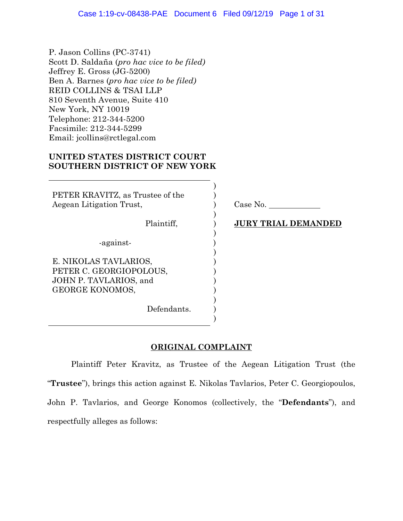P. Jason Collins (PC-3741) Scott D. Saldaña (*pro hac vice to be filed)* Jeffrey E. Gross (JG-5200) Ben A. Barnes (*pro hac vice to be filed)* REID COLLINS & TSAI LLP 810 Seventh Avenue, Suite 410 New York, NY 10019 Telephone: 212-344-5200 Facsimile: 212-344-5299 Email: jcollins@rctlegal.com

# **UNITED STATES DISTRICT COURT SOUTHERN DISTRICT OF NEW YORK**

PETER KRAVITZ, as Trustee of the Aegean Litigation Trust, Plaintiff, -against-E. NIKOLAS TAVLARIOS, PETER C. GEORGIOPOLOUS, JOHN P. TAVLARIOS, and GEORGE KONOMOS, Defendants.

Case No.

## **JURY TRIAL DEMANDED**

# **ORIGINAL COMPLAINT**

) ) ) ) ) ) ) ) ) ) ) ) ) ) )

Plaintiff Peter Kravitz, as Trustee of the Aegean Litigation Trust (the "**Trustee**"), brings this action against E. Nikolas Tavlarios, Peter C. Georgiopoulos, John P. Tavlarios, and George Konomos (collectively, the "**Defendants**"), and respectfully alleges as follows: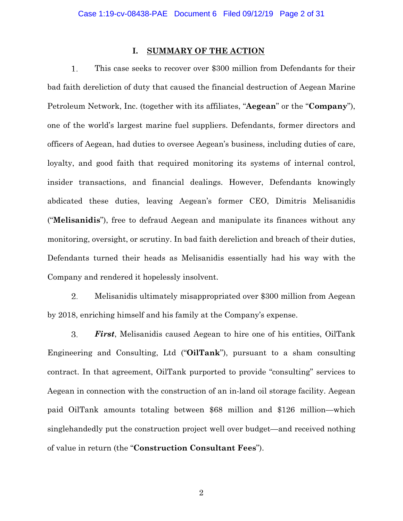## **I. SUMMARY OF THE ACTION**

1. This case seeks to recover over \$300 million from Defendants for their bad faith dereliction of duty that caused the financial destruction of Aegean Marine Petroleum Network, Inc. (together with its affiliates, "**Aegean**" or the "**Company**"), one of the world's largest marine fuel suppliers. Defendants, former directors and officers of Aegean, had duties to oversee Aegean's business, including duties of care, loyalty, and good faith that required monitoring its systems of internal control, insider transactions, and financial dealings. However, Defendants knowingly abdicated these duties, leaving Aegean's former CEO, Dimitris Melisanidis ("**Melisanidis**"), free to defraud Aegean and manipulate its finances without any monitoring, oversight, or scrutiny. In bad faith dereliction and breach of their duties, Defendants turned their heads as Melisanidis essentially had his way with the Company and rendered it hopelessly insolvent.

2. Melisanidis ultimately misappropriated over \$300 million from Aegean by 2018, enriching himself and his family at the Company's expense.

3. *First*, Melisanidis caused Aegean to hire one of his entities, OilTank Engineering and Consulting, Ltd ("**OilTank**"), pursuant to a sham consulting contract. In that agreement, OilTank purported to provide "consulting" services to Aegean in connection with the construction of an in-land oil storage facility. Aegean paid OilTank amounts totaling between \$68 million and \$126 million—which singlehandedly put the construction project well over budget—and received nothing of value in return (the "**Construction Consultant Fees**").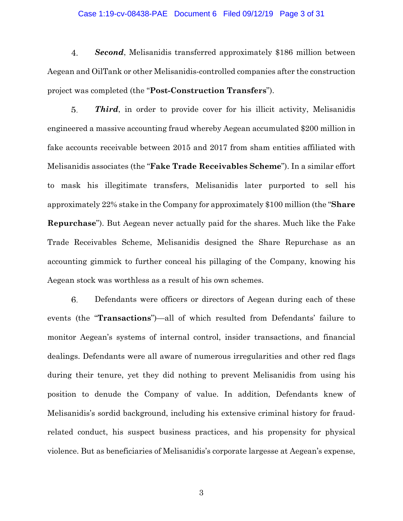### Case 1:19-cv-08438-PAE Document 6 Filed 09/12/19 Page 3 of 31

4. *Second*, Melisanidis transferred approximately \$186 million between Aegean and OilTank or other Melisanidis-controlled companies after the construction project was completed (the "**Post-Construction Transfers**").

5. *Third*, in order to provide cover for his illicit activity, Melisanidis engineered a massive accounting fraud whereby Aegean accumulated \$200 million in fake accounts receivable between 2015 and 2017 from sham entities affiliated with Melisanidis associates (the "**Fake Trade Receivables Scheme**"). In a similar effort to mask his illegitimate transfers, Melisanidis later purported to sell his approximately 22% stake in the Company for approximately \$100 million (the "**Share Repurchase**"). But Aegean never actually paid for the shares. Much like the Fake Trade Receivables Scheme, Melisanidis designed the Share Repurchase as an accounting gimmick to further conceal his pillaging of the Company, knowing his Aegean stock was worthless as a result of his own schemes.

6. Defendants were officers or directors of Aegean during each of these events (the "**Transactions**")—all of which resulted from Defendants' failure to monitor Aegean's systems of internal control, insider transactions, and financial dealings. Defendants were all aware of numerous irregularities and other red flags during their tenure, yet they did nothing to prevent Melisanidis from using his position to denude the Company of value. In addition, Defendants knew of Melisanidis's sordid background, including his extensive criminal history for fraudrelated conduct, his suspect business practices, and his propensity for physical violence. But as beneficiaries of Melisanidis's corporate largesse at Aegean's expense,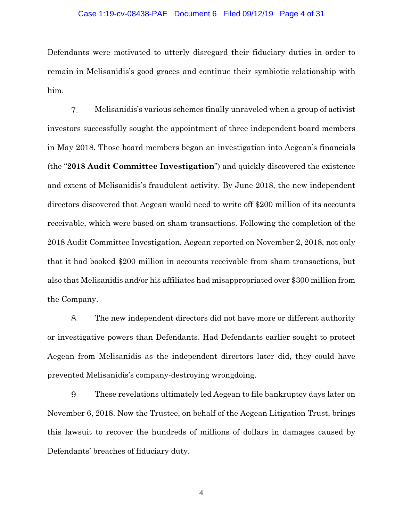#### Case 1:19-cv-08438-PAE Document 6 Filed 09/12/19 Page 4 of 31

Defendants were motivated to utterly disregard their fiduciary duties in order to remain in Melisanidis's good graces and continue their symbiotic relationship with him.

7. Melisanidis's various schemes finally unraveled when a group of activist investors successfully sought the appointment of three independent board members in May 2018. Those board members began an investigation into Aegean's financials (the "**2018 Audit Committee Investigation**") and quickly discovered the existence and extent of Melisanidis's fraudulent activity. By June 2018, the new independent directors discovered that Aegean would need to write off \$200 million of its accounts receivable, which were based on sham transactions. Following the completion of the 2018 Audit Committee Investigation, Aegean reported on November 2, 2018, not only that it had booked \$200 million in accounts receivable from sham transactions, but also that Melisanidis and/or his affiliates had misappropriated over \$300 million from the Company.

8. The new independent directors did not have more or different authority or investigative powers than Defendants. Had Defendants earlier sought to protect Aegean from Melisanidis as the independent directors later did, they could have prevented Melisanidis's company-destroying wrongdoing.

9. These revelations ultimately led Aegean to file bankruptcy days later on November 6, 2018. Now the Trustee, on behalf of the Aegean Litigation Trust, brings this lawsuit to recover the hundreds of millions of dollars in damages caused by Defendants' breaches of fiduciary duty.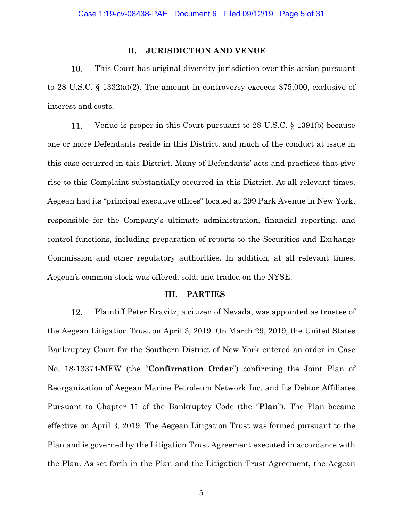## **II. JURISDICTION AND VENUE**

10. This Court has original diversity jurisdiction over this action pursuant to 28 U.S.C. § 1332(a)(2). The amount in controversy exceeds \$75,000, exclusive of interest and costs.

Venue is proper in this Court pursuant to 28 U.S.C. § 1391(b) because 11. one or more Defendants reside in this District, and much of the conduct at issue in this case occurred in this District. Many of Defendants' acts and practices that give rise to this Complaint substantially occurred in this District. At all relevant times, Aegean had its "principal executive offices" located at 299 Park Avenue in New York, responsible for the Company's ultimate administration, financial reporting, and control functions, including preparation of reports to the Securities and Exchange Commission and other regulatory authorities. In addition, at all relevant times, Aegean's common stock was offered, sold, and traded on the NYSE.

## **III. PARTIES**

12. Plaintiff Peter Kravitz, a citizen of Nevada, was appointed as trustee of the Aegean Litigation Trust on April 3, 2019. On March 29, 2019, the United States Bankruptcy Court for the Southern District of New York entered an order in Case No. 18-13374-MEW (the "**Confirmation Order**") confirming the Joint Plan of Reorganization of Aegean Marine Petroleum Network Inc. and Its Debtor Affiliates Pursuant to Chapter 11 of the Bankruptcy Code (the "**Plan**"). The Plan became effective on April 3, 2019. The Aegean Litigation Trust was formed pursuant to the Plan and is governed by the Litigation Trust Agreement executed in accordance with the Plan. As set forth in the Plan and the Litigation Trust Agreement, the Aegean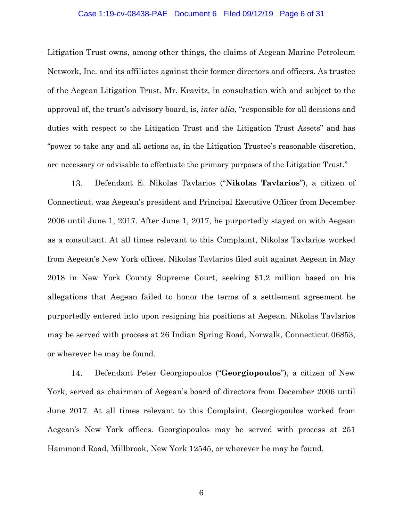#### Case 1:19-cv-08438-PAE Document 6 Filed 09/12/19 Page 6 of 31

Litigation Trust owns, among other things, the claims of Aegean Marine Petroleum Network, Inc. and its affiliates against their former directors and officers. As trustee of the Aegean Litigation Trust, Mr. Kravitz, in consultation with and subject to the approval of, the trust's advisory board, is, *inter alia*, "responsible for all decisions and duties with respect to the Litigation Trust and the Litigation Trust Assets" and has "power to take any and all actions as, in the Litigation Trustee's reasonable discretion, are necessary or advisable to effectuate the primary purposes of the Litigation Trust."

13. Defendant E. Nikolas Tavlarios ("**Nikolas Tavlarios**"), a citizen of Connecticut, was Aegean's president and Principal Executive Officer from December 2006 until June 1, 2017. After June 1, 2017, he purportedly stayed on with Aegean as a consultant. At all times relevant to this Complaint, Nikolas Tavlarios worked from Aegean's New York offices. Nikolas Tavlarios filed suit against Aegean in May 2018 in New York County Supreme Court, seeking \$1.2 million based on his allegations that Aegean failed to honor the terms of a settlement agreement he purportedly entered into upon resigning his positions at Aegean. Nikolas Tavlarios may be served with process at 26 Indian Spring Road, Norwalk, Connecticut 06853, or wherever he may be found.

14. Defendant Peter Georgiopoulos ("**Georgiopoulos**"), a citizen of New York, served as chairman of Aegean's board of directors from December 2006 until June 2017. At all times relevant to this Complaint, Georgiopoulos worked from Aegean's New York offices. Georgiopoulos may be served with process at 251 Hammond Road, Millbrook, New York 12545, or wherever he may be found.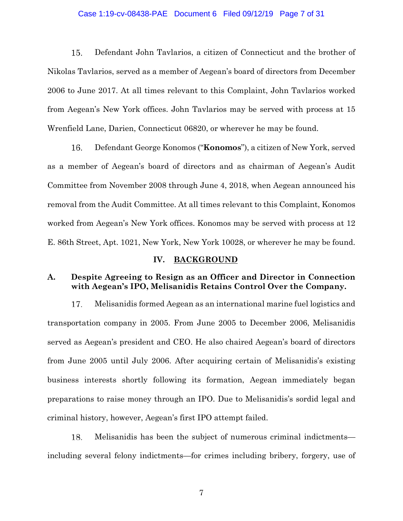### Case 1:19-cv-08438-PAE Document 6 Filed 09/12/19 Page 7 of 31

15. Defendant John Tavlarios, a citizen of Connecticut and the brother of Nikolas Tavlarios, served as a member of Aegean's board of directors from December 2006 to June 2017. At all times relevant to this Complaint, John Tavlarios worked from Aegean's New York offices. John Tavlarios may be served with process at 15 Wrenfield Lane, Darien, Connecticut 06820, or wherever he may be found.

16. Defendant George Konomos ("**Konomos**"), a citizen of New York, served as a member of Aegean's board of directors and as chairman of Aegean's Audit Committee from November 2008 through June 4, 2018, when Aegean announced his removal from the Audit Committee. At all times relevant to this Complaint, Konomos worked from Aegean's New York offices. Konomos may be served with process at 12 E. 86th Street, Apt. 1021, New York, New York 10028, or wherever he may be found.

## IV. BACKGROUND

## **A. Despite Agreeing to Resign as an Officer and Director in Connection with Aegean's IPO, Melisanidis Retains Control Over the Company.**

Melisanidis formed Aegean as an international marine fuel logistics and 17. transportation company in 2005. From June 2005 to December 2006, Melisanidis served as Aegean's president and CEO. He also chaired Aegean's board of directors from June 2005 until July 2006. After acquiring certain of Melisanidis's existing business interests shortly following its formation, Aegean immediately began preparations to raise money through an IPO. Due to Melisanidis's sordid legal and criminal history, however, Aegean's first IPO attempt failed.

Melisanidis has been the subject of numerous criminal indictments— 18. including several felony indictments—for crimes including bribery, forgery, use of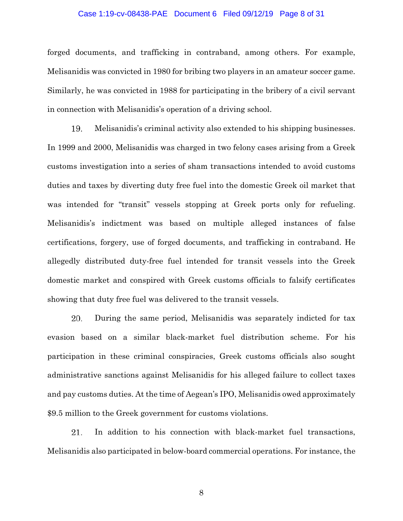#### Case 1:19-cv-08438-PAE Document 6 Filed 09/12/19 Page 8 of 31

forged documents, and trafficking in contraband, among others. For example, Melisanidis was convicted in 1980 for bribing two players in an amateur soccer game. Similarly, he was convicted in 1988 for participating in the bribery of a civil servant in connection with Melisanidis's operation of a driving school.

19. Melisanidis's criminal activity also extended to his shipping businesses. In 1999 and 2000, Melisanidis was charged in two felony cases arising from a Greek customs investigation into a series of sham transactions intended to avoid customs duties and taxes by diverting duty free fuel into the domestic Greek oil market that was intended for "transit" vessels stopping at Greek ports only for refueling. Melisanidis's indictment was based on multiple alleged instances of false certifications, forgery, use of forged documents, and trafficking in contraband. He allegedly distributed duty-free fuel intended for transit vessels into the Greek domestic market and conspired with Greek customs officials to falsify certificates showing that duty free fuel was delivered to the transit vessels.

20. During the same period, Melisanidis was separately indicted for tax evasion based on a similar black-market fuel distribution scheme. For his participation in these criminal conspiracies, Greek customs officials also sought administrative sanctions against Melisanidis for his alleged failure to collect taxes and pay customs duties. At the time of Aegean's IPO, Melisanidis owed approximately \$9.5 million to the Greek government for customs violations.

21. In addition to his connection with black-market fuel transactions, Melisanidis also participated in below-board commercial operations. For instance, the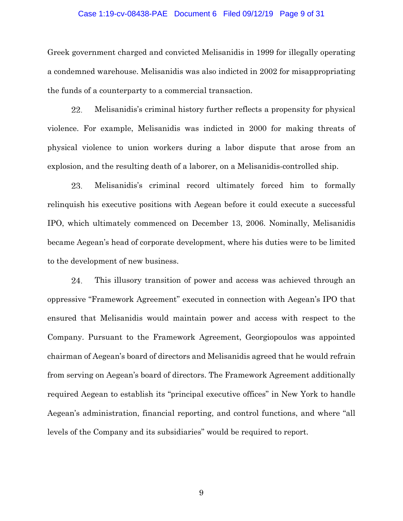### Case 1:19-cv-08438-PAE Document 6 Filed 09/12/19 Page 9 of 31

Greek government charged and convicted Melisanidis in 1999 for illegally operating a condemned warehouse. Melisanidis was also indicted in 2002 for misappropriating the funds of a counterparty to a commercial transaction.

22. Melisanidis's criminal history further reflects a propensity for physical violence. For example, Melisanidis was indicted in 2000 for making threats of physical violence to union workers during a labor dispute that arose from an explosion, and the resulting death of a laborer, on a Melisanidis-controlled ship.

23. Melisanidis's criminal record ultimately forced him to formally relinquish his executive positions with Aegean before it could execute a successful IPO, which ultimately commenced on December 13, 2006. Nominally, Melisanidis became Aegean's head of corporate development, where his duties were to be limited to the development of new business.

24. This illusory transition of power and access was achieved through an oppressive "Framework Agreement" executed in connection with Aegean's IPO that ensured that Melisanidis would maintain power and access with respect to the Company. Pursuant to the Framework Agreement, Georgiopoulos was appointed chairman of Aegean's board of directors and Melisanidis agreed that he would refrain from serving on Aegean's board of directors. The Framework Agreement additionally required Aegean to establish its "principal executive offices" in New York to handle Aegean's administration, financial reporting, and control functions, and where "all levels of the Company and its subsidiaries" would be required to report.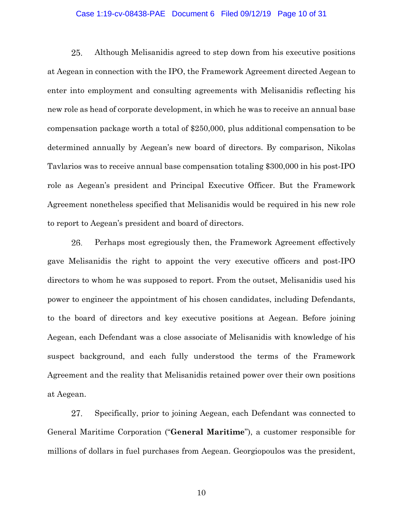#### Case 1:19-cv-08438-PAE Document 6 Filed 09/12/19 Page 10 of 31

25. Although Melisanidis agreed to step down from his executive positions at Aegean in connection with the IPO, the Framework Agreement directed Aegean to enter into employment and consulting agreements with Melisanidis reflecting his new role as head of corporate development, in which he was to receive an annual base compensation package worth a total of \$250,000, plus additional compensation to be determined annually by Aegean's new board of directors. By comparison, Nikolas Tavlarios was to receive annual base compensation totaling \$300,000 in his post-IPO role as Aegean's president and Principal Executive Officer. But the Framework Agreement nonetheless specified that Melisanidis would be required in his new role to report to Aegean's president and board of directors.

26. Perhaps most egregiously then, the Framework Agreement effectively gave Melisanidis the right to appoint the very executive officers and post-IPO directors to whom he was supposed to report. From the outset, Melisanidis used his power to engineer the appointment of his chosen candidates, including Defendants, to the board of directors and key executive positions at Aegean. Before joining Aegean, each Defendant was a close associate of Melisanidis with knowledge of his suspect background, and each fully understood the terms of the Framework Agreement and the reality that Melisanidis retained power over their own positions at Aegean.

27. Specifically, prior to joining Aegean, each Defendant was connected to General Maritime Corporation ("**General Maritime**"), a customer responsible for millions of dollars in fuel purchases from Aegean. Georgiopoulos was the president,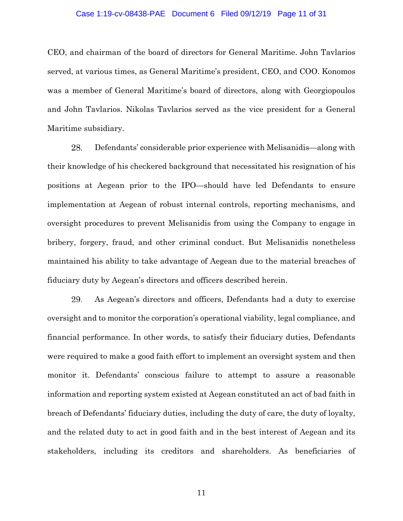#### Case 1:19-cv-08438-PAE Document 6 Filed 09/12/19 Page 11 of 31

CEO, and chairman of the board of directors for General Maritime. John Tavlarios served, at various times, as General Maritime's president, CEO, and COO. Konomos was a member of General Maritime's board of directors, along with Georgiopoulos and John Tavlarios. Nikolas Tavlarios served as the vice president for a General Maritime subsidiary.

28. Defendants' considerable prior experience with Melisanidis—along with their knowledge of his checkered background that necessitated his resignation of his positions at Aegean prior to the IPO—should have led Defendants to ensure implementation at Aegean of robust internal controls, reporting mechanisms, and oversight procedures to prevent Melisanidis from using the Company to engage in bribery, forgery, fraud, and other criminal conduct. But Melisanidis nonetheless maintained his ability to take advantage of Aegean due to the material breaches of fiduciary duty by Aegean's directors and officers described herein.

29. As Aegean's directors and officers, Defendants had a duty to exercise oversight and to monitor the corporation's operational viability, legal compliance, and financial performance. In other words, to satisfy their fiduciary duties, Defendants were required to make a good faith effort to implement an oversight system and then monitor it. Defendants' conscious failure to attempt to assure a reasonable information and reporting system existed at Aegean constituted an act of bad faith in breach of Defendants' fiduciary duties, including the duty of care, the duty of loyalty, and the related duty to act in good faith and in the best interest of Aegean and its stakeholders, including its creditors and shareholders. As beneficiaries of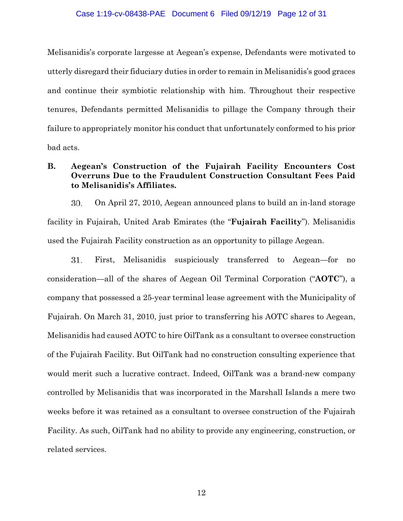### Case 1:19-cv-08438-PAE Document 6 Filed 09/12/19 Page 12 of 31

Melisanidis's corporate largesse at Aegean's expense, Defendants were motivated to utterly disregard their fiduciary duties in order to remain in Melisanidis's good graces and continue their symbiotic relationship with him. Throughout their respective tenures, Defendants permitted Melisanidis to pillage the Company through their failure to appropriately monitor his conduct that unfortunately conformed to his prior bad acts.

# **B. Aegean's Construction of the Fujairah Facility Encounters Cost Overruns Due to the Fraudulent Construction Consultant Fees Paid to Melisanidis's Affiliates.**

30. On April 27, 2010, Aegean announced plans to build an in-land storage facility in Fujairah, United Arab Emirates (the "**Fujairah Facility**"). Melisanidis used the Fujairah Facility construction as an opportunity to pillage Aegean.

First, Melisanidis suspiciously transferred to Aegean—for no 31. consideration—all of the shares of Aegean Oil Terminal Corporation ("**AOTC**"), a company that possessed a 25-year terminal lease agreement with the Municipality of Fujairah. On March 31, 2010, just prior to transferring his AOTC shares to Aegean, Melisanidis had caused AOTC to hire OilTank as a consultant to oversee construction of the Fujairah Facility. But OilTank had no construction consulting experience that would merit such a lucrative contract. Indeed, OilTank was a brand-new company controlled by Melisanidis that was incorporated in the Marshall Islands a mere two weeks before it was retained as a consultant to oversee construction of the Fujairah Facility. As such, OilTank had no ability to provide any engineering, construction, or related services.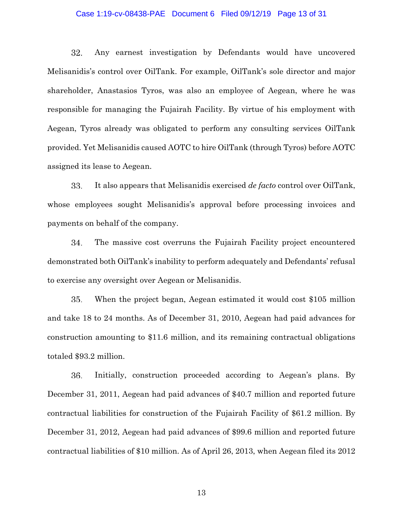## Case 1:19-cv-08438-PAE Document 6 Filed 09/12/19 Page 13 of 31

32. Any earnest investigation by Defendants would have uncovered Melisanidis's control over OilTank. For example, OilTank's sole director and major shareholder, Anastasios Tyros, was also an employee of Aegean, where he was responsible for managing the Fujairah Facility. By virtue of his employment with Aegean, Tyros already was obligated to perform any consulting services OilTank provided. Yet Melisanidis caused AOTC to hire OilTank (through Tyros) before AOTC assigned its lease to Aegean.

33. It also appears that Melisanidis exercised *de facto* control over OilTank, whose employees sought Melisanidis's approval before processing invoices and payments on behalf of the company.

34. The massive cost overruns the Fujairah Facility project encountered demonstrated both OilTank's inability to perform adequately and Defendants' refusal to exercise any oversight over Aegean or Melisanidis.

35. When the project began, Aegean estimated it would cost \$105 million and take 18 to 24 months. As of December 31, 2010, Aegean had paid advances for construction amounting to \$11.6 million, and its remaining contractual obligations totaled \$93.2 million.

36. Initially, construction proceeded according to Aegean's plans. By December 31, 2011, Aegean had paid advances of \$40.7 million and reported future contractual liabilities for construction of the Fujairah Facility of \$61.2 million. By December 31, 2012, Aegean had paid advances of \$99.6 million and reported future contractual liabilities of \$10 million. As of April 26, 2013, when Aegean filed its 2012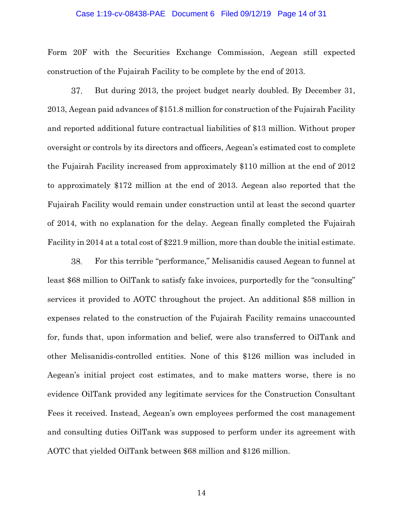#### Case 1:19-cv-08438-PAE Document 6 Filed 09/12/19 Page 14 of 31

Form 20F with the Securities Exchange Commission, Aegean still expected construction of the Fujairah Facility to be complete by the end of 2013.

37. But during 2013, the project budget nearly doubled. By December 31, 2013, Aegean paid advances of \$151.8 million for construction of the Fujairah Facility and reported additional future contractual liabilities of \$13 million. Without proper oversight or controls by its directors and officers, Aegean's estimated cost to complete the Fujairah Facility increased from approximately \$110 million at the end of 2012 to approximately \$172 million at the end of 2013. Aegean also reported that the Fujairah Facility would remain under construction until at least the second quarter of 2014, with no explanation for the delay. Aegean finally completed the Fujairah Facility in 2014 at a total cost of \$221.9 million, more than double the initial estimate.

38. For this terrible "performance," Melisanidis caused Aegean to funnel at least \$68 million to OilTank to satisfy fake invoices, purportedly for the "consulting" services it provided to AOTC throughout the project. An additional \$58 million in expenses related to the construction of the Fujairah Facility remains unaccounted for, funds that, upon information and belief, were also transferred to OilTank and other Melisanidis-controlled entities. None of this \$126 million was included in Aegean's initial project cost estimates, and to make matters worse, there is no evidence OilTank provided any legitimate services for the Construction Consultant Fees it received. Instead, Aegean's own employees performed the cost management and consulting duties OilTank was supposed to perform under its agreement with AOTC that yielded OilTank between \$68 million and \$126 million.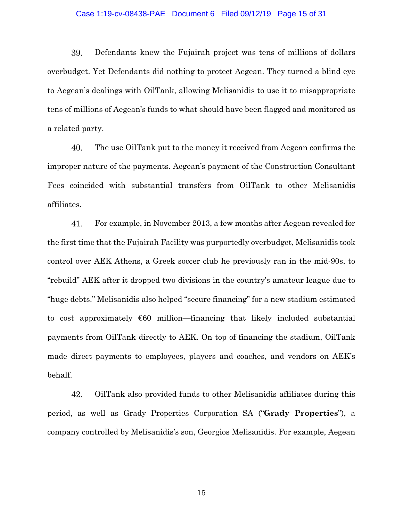### Case 1:19-cv-08438-PAE Document 6 Filed 09/12/19 Page 15 of 31

39. Defendants knew the Fujairah project was tens of millions of dollars overbudget. Yet Defendants did nothing to protect Aegean. They turned a blind eye to Aegean's dealings with OilTank, allowing Melisanidis to use it to misappropriate tens of millions of Aegean's funds to what should have been flagged and monitored as a related party.

40. The use OilTank put to the money it received from Aegean confirms the improper nature of the payments. Aegean's payment of the Construction Consultant Fees coincided with substantial transfers from OilTank to other Melisanidis affiliates.

41. For example, in November 2013, a few months after Aegean revealed for the first time that the Fujairah Facility was purportedly overbudget, Melisanidis took control over AEK Athens, a Greek soccer club he previously ran in the mid-90s, to "rebuild" AEK after it dropped two divisions in the country's amateur league due to "huge debts." Melisanidis also helped "secure financing" for a new stadium estimated to cost approximately  $\epsilon$ 60 million—financing that likely included substantial payments from OilTank directly to AEK. On top of financing the stadium, OilTank made direct payments to employees, players and coaches, and vendors on AEK's behalf.

42. OilTank also provided funds to other Melisanidis affiliates during this period, as well as Grady Properties Corporation SA ("**Grady Properties**"), a company controlled by Melisanidis's son, Georgios Melisanidis. For example, Aegean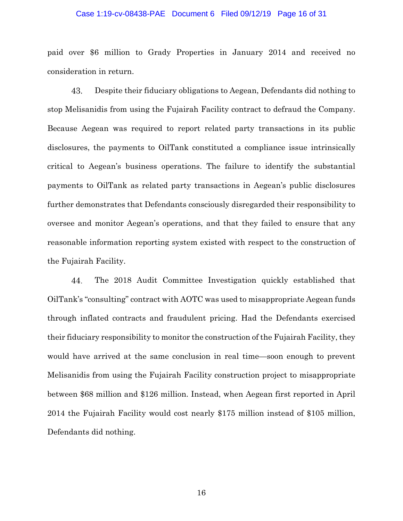#### Case 1:19-cv-08438-PAE Document 6 Filed 09/12/19 Page 16 of 31

paid over \$6 million to Grady Properties in January 2014 and received no consideration in return.

43. Despite their fiduciary obligations to Aegean, Defendants did nothing to stop Melisanidis from using the Fujairah Facility contract to defraud the Company. Because Aegean was required to report related party transactions in its public disclosures, the payments to OilTank constituted a compliance issue intrinsically critical to Aegean's business operations. The failure to identify the substantial payments to OilTank as related party transactions in Aegean's public disclosures further demonstrates that Defendants consciously disregarded their responsibility to oversee and monitor Aegean's operations, and that they failed to ensure that any reasonable information reporting system existed with respect to the construction of the Fujairah Facility.

The 2018 Audit Committee Investigation quickly established that 44. OilTank's "consulting" contract with AOTC was used to misappropriate Aegean funds through inflated contracts and fraudulent pricing. Had the Defendants exercised their fiduciary responsibility to monitor the construction of the Fujairah Facility, they would have arrived at the same conclusion in real time—soon enough to prevent Melisanidis from using the Fujairah Facility construction project to misappropriate between \$68 million and \$126 million. Instead, when Aegean first reported in April 2014 the Fujairah Facility would cost nearly \$175 million instead of \$105 million, Defendants did nothing.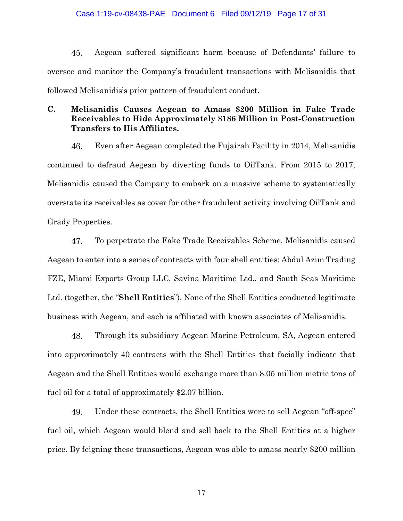### Case 1:19-cv-08438-PAE Document 6 Filed 09/12/19 Page 17 of 31

45. Aegean suffered significant harm because of Defendants' failure to oversee and monitor the Company's fraudulent transactions with Melisanidis that followed Melisanidis's prior pattern of fraudulent conduct.

# **C. Melisanidis Causes Aegean to Amass \$200 Million in Fake Trade Receivables to Hide Approximately \$186 Million in Post-Construction Transfers to His Affiliates.**

46. Even after Aegean completed the Fujairah Facility in 2014, Melisanidis continued to defraud Aegean by diverting funds to OilTank. From 2015 to 2017, Melisanidis caused the Company to embark on a massive scheme to systematically overstate its receivables as cover for other fraudulent activity involving OilTank and Grady Properties.

47. To perpetrate the Fake Trade Receivables Scheme, Melisanidis caused Aegean to enter into a series of contracts with four shell entities: Abdul Azim Trading FZE, Miami Exports Group LLC, Savina Maritime Ltd., and South Seas Maritime Ltd. (together, the "**Shell Entities**"). None of the Shell Entities conducted legitimate business with Aegean, and each is affiliated with known associates of Melisanidis.

48. Through its subsidiary Aegean Marine Petroleum, SA, Aegean entered into approximately 40 contracts with the Shell Entities that facially indicate that Aegean and the Shell Entities would exchange more than 8.05 million metric tons of fuel oil for a total of approximately \$2.07 billion.

49. Under these contracts, the Shell Entities were to sell Aegean "off-spec" fuel oil, which Aegean would blend and sell back to the Shell Entities at a higher price. By feigning these transactions, Aegean was able to amass nearly \$200 million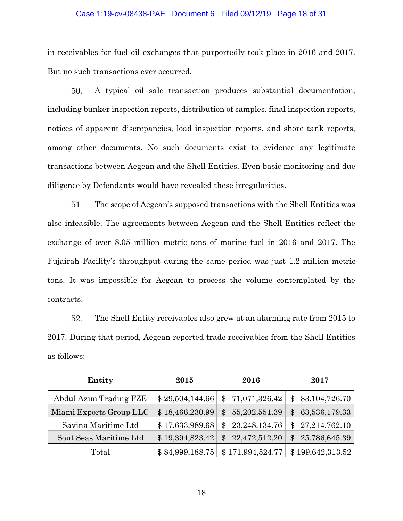### Case 1:19-cv-08438-PAE Document 6 Filed 09/12/19 Page 18 of 31

in receivables for fuel oil exchanges that purportedly took place in 2016 and 2017. But no such transactions ever occurred.

A typical oil sale transaction produces substantial documentation, 50. including bunker inspection reports, distribution of samples, final inspection reports, notices of apparent discrepancies, load inspection reports, and shore tank reports, among other documents. No such documents exist to evidence any legitimate transactions between Aegean and the Shell Entities. Even basic monitoring and due diligence by Defendants would have revealed these irregularities.

51. The scope of Aegean's supposed transactions with the Shell Entities was also infeasible. The agreements between Aegean and the Shell Entities reflect the exchange of over 8.05 million metric tons of marine fuel in 2016 and 2017. The Fujairah Facility's throughput during the same period was just 1.2 million metric tons. It was impossible for Aegean to process the volume contemplated by the contracts.

52. The Shell Entity receivables also grew at an alarming rate from 2015 to 2017. During that period, Aegean reported trade receivables from the Shell Entities as follows:

| Entity                  | 2015            | 2016                         | 2017             |
|-------------------------|-----------------|------------------------------|------------------|
| Abdul Azim Trading FZE  | \$29,504,144.66 | \$71,071,326.42              | \$83,104,726.70  |
| Miami Exports Group LLC | \$18,466,230.99 | 55,202,551.39<br>$\mathbb S$ | \$63,536,179.33  |
| Savina Maritime Ltd     | \$17,633,989.68 | \$23,248,134.76              | \$27,214,762.10  |
| Sout Seas Maritime Ltd  | \$19,394,823.42 | 22,472,512.20<br>$^{\circ}$  | \$25,786,645.39  |
| Total                   | \$84,999,188.75 | \$171,994,524.77             | \$199,642,313.52 |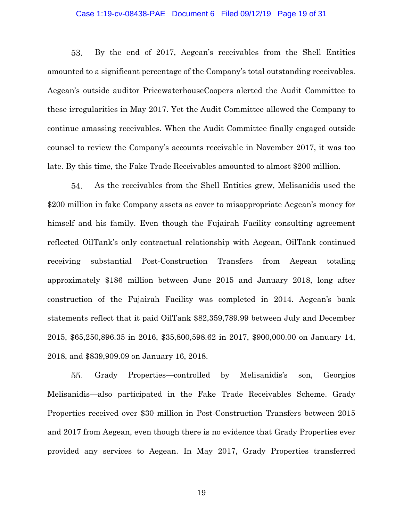### Case 1:19-cv-08438-PAE Document 6 Filed 09/12/19 Page 19 of 31

53. By the end of 2017, Aegean's receivables from the Shell Entities amounted to a significant percentage of the Company's total outstanding receivables. Aegean's outside auditor PricewaterhouseCoopers alerted the Audit Committee to these irregularities in May 2017. Yet the Audit Committee allowed the Company to continue amassing receivables. When the Audit Committee finally engaged outside counsel to review the Company's accounts receivable in November 2017, it was too late. By this time, the Fake Trade Receivables amounted to almost \$200 million.

As the receivables from the Shell Entities grew, Melisanidis used the 54. \$200 million in fake Company assets as cover to misappropriate Aegean's money for himself and his family. Even though the Fujairah Facility consulting agreement reflected OilTank's only contractual relationship with Aegean, OilTank continued receiving substantial Post-Construction Transfers from Aegean totaling approximately \$186 million between June 2015 and January 2018, long after construction of the Fujairah Facility was completed in 2014. Aegean's bank statements reflect that it paid OilTank \$82,359,789.99 between July and December 2015, \$65,250,896.35 in 2016, \$35,800,598.62 in 2017, \$900,000.00 on January 14, 2018, and \$839,909.09 on January 16, 2018.

55. Grady Properties—controlled by Melisanidis's son, Georgios Melisanidis—also participated in the Fake Trade Receivables Scheme. Grady Properties received over \$30 million in Post-Construction Transfers between 2015 and 2017 from Aegean, even though there is no evidence that Grady Properties ever provided any services to Aegean. In May 2017, Grady Properties transferred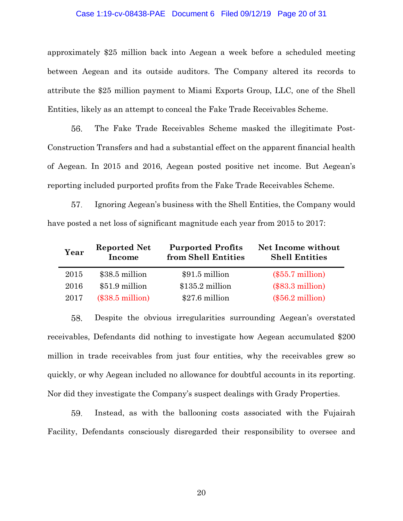#### Case 1:19-cv-08438-PAE Document 6 Filed 09/12/19 Page 20 of 31

approximately \$25 million back into Aegean a week before a scheduled meeting between Aegean and its outside auditors. The Company altered its records to attribute the \$25 million payment to Miami Exports Group, LLC, one of the Shell Entities, likely as an attempt to conceal the Fake Trade Receivables Scheme.

56. The Fake Trade Receivables Scheme masked the illegitimate Post-Construction Transfers and had a substantial effect on the apparent financial health of Aegean. In 2015 and 2016, Aegean posted positive net income. But Aegean's reporting included purported profits from the Fake Trade Receivables Scheme.

57. Ignoring Aegean's business with the Shell Entities, the Company would have posted a net loss of significant magnitude each year from 2015 to 2017:

| Year | <b>Reported Net</b><br>Income | <b>Purported Profits</b><br>from Shell Entities | Net Income without<br><b>Shell Entities</b> |
|------|-------------------------------|-------------------------------------------------|---------------------------------------------|
| 2015 | \$38.5 million                | \$91.5 million                                  | $(\$55.7$ million)                          |
| 2016 | \$51.9 million                | $$135.2$ million                                | $(\$83.3$ million)                          |
| 2017 | $(\$38.5$ million)            | \$27.6 million                                  | $(\$56.2$ million)                          |

58. Despite the obvious irregularities surrounding Aegean's overstated receivables, Defendants did nothing to investigate how Aegean accumulated \$200 million in trade receivables from just four entities, why the receivables grew so quickly, or why Aegean included no allowance for doubtful accounts in its reporting. Nor did they investigate the Company's suspect dealings with Grady Properties.

59. Instead, as with the ballooning costs associated with the Fujairah Facility, Defendants consciously disregarded their responsibility to oversee and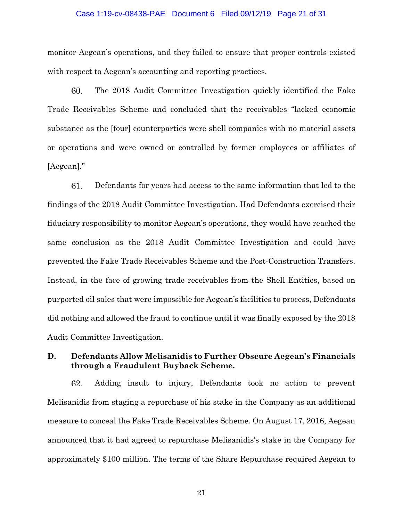### Case 1:19-cv-08438-PAE Document 6 Filed 09/12/19 Page 21 of 31

monitor Aegean's operations, and they failed to ensure that proper controls existed with respect to Aegean's accounting and reporting practices.

60. The 2018 Audit Committee Investigation quickly identified the Fake Trade Receivables Scheme and concluded that the receivables "lacked economic substance as the [four] counterparties were shell companies with no material assets or operations and were owned or controlled by former employees or affiliates of [Aegean]."

61. Defendants for years had access to the same information that led to the findings of the 2018 Audit Committee Investigation. Had Defendants exercised their fiduciary responsibility to monitor Aegean's operations, they would have reached the same conclusion as the 2018 Audit Committee Investigation and could have prevented the Fake Trade Receivables Scheme and the Post-Construction Transfers. Instead, in the face of growing trade receivables from the Shell Entities, based on purported oil sales that were impossible for Aegean's facilities to process, Defendants did nothing and allowed the fraud to continue until it was finally exposed by the 2018 Audit Committee Investigation.

# **D. Defendants Allow Melisanidis to Further Obscure Aegean's Financials through a Fraudulent Buyback Scheme.**

62. Adding insult to injury, Defendants took no action to prevent Melisanidis from staging a repurchase of his stake in the Company as an additional measure to conceal the Fake Trade Receivables Scheme. On August 17, 2016, Aegean announced that it had agreed to repurchase Melisanidis's stake in the Company for approximately \$100 million. The terms of the Share Repurchase required Aegean to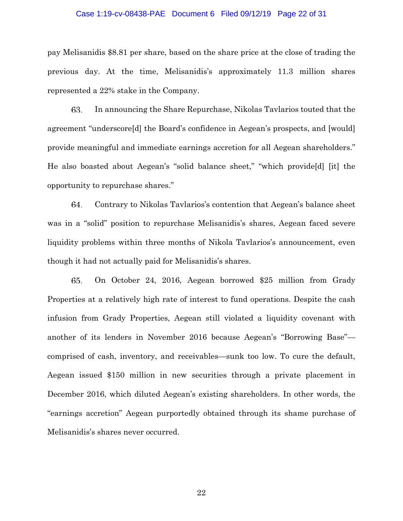## Case 1:19-cv-08438-PAE Document 6 Filed 09/12/19 Page 22 of 31

pay Melisanidis \$8.81 per share, based on the share price at the close of trading the previous day. At the time, Melisanidis's approximately 11.3 million shares represented a 22% stake in the Company.

63. In announcing the Share Repurchase, Nikolas Tavlarios touted that the agreement "underscore[d] the Board's confidence in Aegean's prospects, and [would] provide meaningful and immediate earnings accretion for all Aegean shareholders." He also boasted about Aegean's "solid balance sheet," "which provide[d] [it] the opportunity to repurchase shares."

Contrary to Nikolas Tavlarios's contention that Aegean's balance sheet 64. was in a "solid" position to repurchase Melisanidis's shares, Aegean faced severe liquidity problems within three months of Nikola Tavlarios's announcement, even though it had not actually paid for Melisanidis's shares.

On October 24, 2016, Aegean borrowed \$25 million from Grady 65. Properties at a relatively high rate of interest to fund operations. Despite the cash infusion from Grady Properties, Aegean still violated a liquidity covenant with another of its lenders in November 2016 because Aegean's "Borrowing Base" comprised of cash, inventory, and receivables—sunk too low. To cure the default, Aegean issued \$150 million in new securities through a private placement in December 2016, which diluted Aegean's existing shareholders. In other words, the "earnings accretion" Aegean purportedly obtained through its shame purchase of Melisanidis's shares never occurred.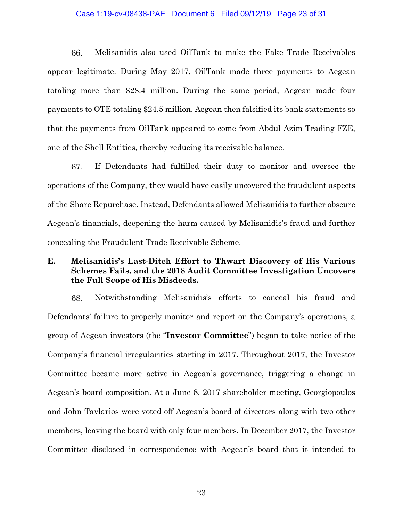### Case 1:19-cv-08438-PAE Document 6 Filed 09/12/19 Page 23 of 31

66. Melisanidis also used OilTank to make the Fake Trade Receivables appear legitimate. During May 2017, OilTank made three payments to Aegean totaling more than \$28.4 million. During the same period, Aegean made four payments to OTE totaling \$24.5 million. Aegean then falsified its bank statements so that the payments from OilTank appeared to come from Abdul Azim Trading FZE, one of the Shell Entities, thereby reducing its receivable balance.

67. If Defendants had fulfilled their duty to monitor and oversee the operations of the Company, they would have easily uncovered the fraudulent aspects of the Share Repurchase. Instead, Defendants allowed Melisanidis to further obscure Aegean's financials, deepening the harm caused by Melisanidis's fraud and further concealing the Fraudulent Trade Receivable Scheme.

## **E. Melisanidis's Last-Ditch Effort to Thwart Discovery of His Various Schemes Fails, and the 2018 Audit Committee Investigation Uncovers the Full Scope of His Misdeeds.**

68. Notwithstanding Melisanidis's efforts to conceal his fraud and Defendants' failure to properly monitor and report on the Company's operations, a group of Aegean investors (the "**Investor Committee**") began to take notice of the Company's financial irregularities starting in 2017. Throughout 2017, the Investor Committee became more active in Aegean's governance, triggering a change in Aegean's board composition. At a June 8, 2017 shareholder meeting, Georgiopoulos and John Tavlarios were voted off Aegean's board of directors along with two other members, leaving the board with only four members. In December 2017, the Investor Committee disclosed in correspondence with Aegean's board that it intended to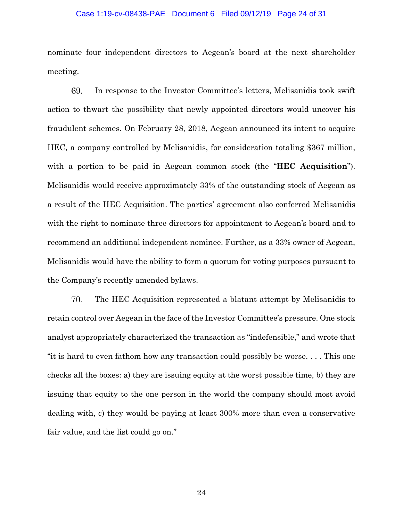### Case 1:19-cv-08438-PAE Document 6 Filed 09/12/19 Page 24 of 31

nominate four independent directors to Aegean's board at the next shareholder meeting.

In response to the Investor Committee's letters, Melisanidis took swift 69. action to thwart the possibility that newly appointed directors would uncover his fraudulent schemes. On February 28, 2018, Aegean announced its intent to acquire HEC, a company controlled by Melisanidis, for consideration totaling \$367 million, with a portion to be paid in Aegean common stock (the "**HEC Acquisition**"). Melisanidis would receive approximately 33% of the outstanding stock of Aegean as a result of the HEC Acquisition. The parties' agreement also conferred Melisanidis with the right to nominate three directors for appointment to Aegean's board and to recommend an additional independent nominee. Further, as a 33% owner of Aegean, Melisanidis would have the ability to form a quorum for voting purposes pursuant to the Company's recently amended bylaws.

70. The HEC Acquisition represented a blatant attempt by Melisanidis to retain control over Aegean in the face of the Investor Committee's pressure. One stock analyst appropriately characterized the transaction as "indefensible," and wrote that "it is hard to even fathom how any transaction could possibly be worse. . . . This one checks all the boxes: a) they are issuing equity at the worst possible time, b) they are issuing that equity to the one person in the world the company should most avoid dealing with, c) they would be paying at least 300% more than even a conservative fair value, and the list could go on."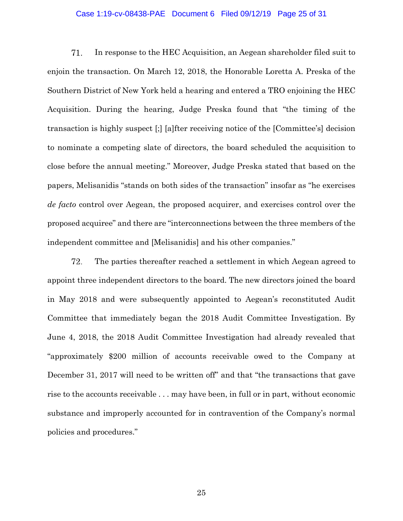### Case 1:19-cv-08438-PAE Document 6 Filed 09/12/19 Page 25 of 31

71. In response to the HEC Acquisition, an Aegean shareholder filed suit to enjoin the transaction. On March 12, 2018, the Honorable Loretta A. Preska of the Southern District of New York held a hearing and entered a TRO enjoining the HEC Acquisition. During the hearing, Judge Preska found that "the timing of the transaction is highly suspect [;] [a]fter receiving notice of the [Committee's] decision to nominate a competing slate of directors, the board scheduled the acquisition to close before the annual meeting." Moreover, Judge Preska stated that based on the papers, Melisanidis "stands on both sides of the transaction" insofar as "he exercises *de facto* control over Aegean, the proposed acquirer, and exercises control over the proposed acquiree" and there are "interconnections between the three members of the independent committee and [Melisanidis] and his other companies."

72. The parties thereafter reached a settlement in which Aegean agreed to appoint three independent directors to the board. The new directors joined the board in May 2018 and were subsequently appointed to Aegean's reconstituted Audit Committee that immediately began the 2018 Audit Committee Investigation. By June 4, 2018, the 2018 Audit Committee Investigation had already revealed that "approximately \$200 million of accounts receivable owed to the Company at December 31, 2017 will need to be written off" and that "the transactions that gave rise to the accounts receivable . . . may have been, in full or in part, without economic substance and improperly accounted for in contravention of the Company's normal policies and procedures."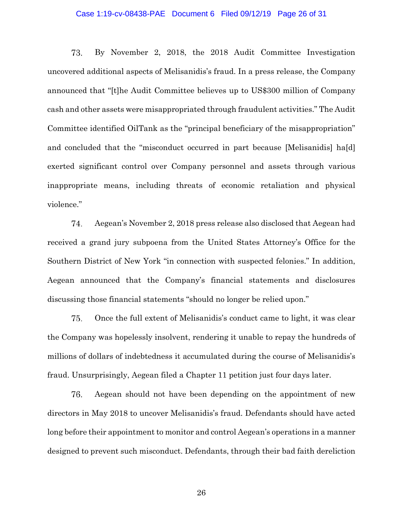## Case 1:19-cv-08438-PAE Document 6 Filed 09/12/19 Page 26 of 31

73. By November 2, 2018, the 2018 Audit Committee Investigation uncovered additional aspects of Melisanidis's fraud. In a press release, the Company announced that "[t]he Audit Committee believes up to US\$300 million of Company cash and other assets were misappropriated through fraudulent activities." The Audit Committee identified OilTank as the "principal beneficiary of the misappropriation" and concluded that the "misconduct occurred in part because [Melisanidis] ha[d] exerted significant control over Company personnel and assets through various inappropriate means, including threats of economic retaliation and physical violence."

74. Aegean's November 2, 2018 press release also disclosed that Aegean had received a grand jury subpoena from the United States Attorney's Office for the Southern District of New York "in connection with suspected felonies." In addition, Aegean announced that the Company's financial statements and disclosures discussing those financial statements "should no longer be relied upon."

75. Once the full extent of Melisanidis's conduct came to light, it was clear the Company was hopelessly insolvent, rendering it unable to repay the hundreds of millions of dollars of indebtedness it accumulated during the course of Melisanidis's fraud. Unsurprisingly, Aegean filed a Chapter 11 petition just four days later.

76. Aegean should not have been depending on the appointment of new directors in May 2018 to uncover Melisanidis's fraud. Defendants should have acted long before their appointment to monitor and control Aegean's operations in a manner designed to prevent such misconduct. Defendants, through their bad faith dereliction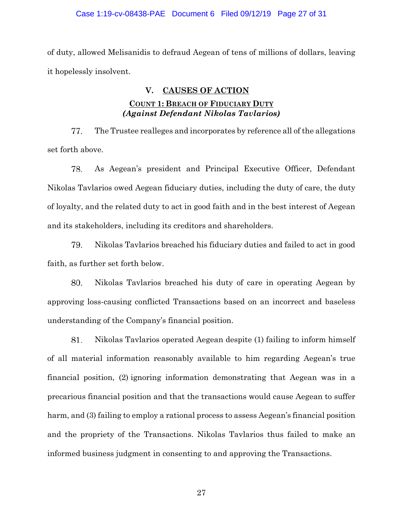## Case 1:19-cv-08438-PAE Document 6 Filed 09/12/19 Page 27 of 31

of duty, allowed Melisanidis to defraud Aegean of tens of millions of dollars, leaving it hopelessly insolvent.

## **V. CAUSES OF ACTION**

# **COUNT 1: BREACH OF FIDUCIARY DUTY** *(Against Defendant Nikolas Tavlarios)*

77. The Trustee realleges and incorporates by reference all of the allegations set forth above.

78. As Aegean's president and Principal Executive Officer, Defendant Nikolas Tavlarios owed Aegean fiduciary duties, including the duty of care, the duty of loyalty, and the related duty to act in good faith and in the best interest of Aegean and its stakeholders, including its creditors and shareholders.

79. Nikolas Tavlarios breached his fiduciary duties and failed to act in good faith, as further set forth below.

80. Nikolas Tavlarios breached his duty of care in operating Aegean by approving loss-causing conflicted Transactions based on an incorrect and baseless understanding of the Company's financial position.

81. Nikolas Tavlarios operated Aegean despite (1) failing to inform himself of all material information reasonably available to him regarding Aegean's true financial position, (2) ignoring information demonstrating that Aegean was in a precarious financial position and that the transactions would cause Aegean to suffer harm, and (3) failing to employ a rational process to assess Aegean's financial position and the propriety of the Transactions. Nikolas Tavlarios thus failed to make an informed business judgment in consenting to and approving the Transactions.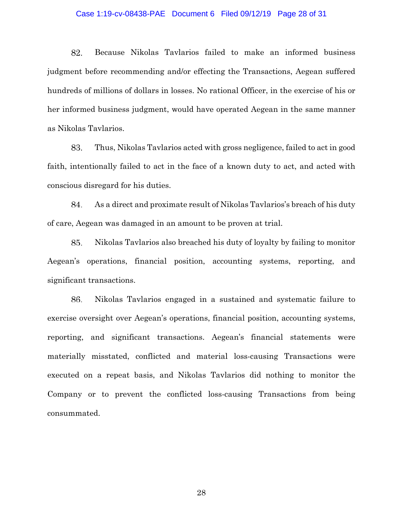### Case 1:19-cv-08438-PAE Document 6 Filed 09/12/19 Page 28 of 31

82. Because Nikolas Tavlarios failed to make an informed business judgment before recommending and/or effecting the Transactions, Aegean suffered hundreds of millions of dollars in losses. No rational Officer, in the exercise of his or her informed business judgment, would have operated Aegean in the same manner as Nikolas Tavlarios.

83. Thus, Nikolas Tavlarios acted with gross negligence, failed to act in good faith, intentionally failed to act in the face of a known duty to act, and acted with conscious disregard for his duties.

84. As a direct and proximate result of Nikolas Tavlarios's breach of his duty of care, Aegean was damaged in an amount to be proven at trial.

85. Nikolas Tavlarios also breached his duty of loyalty by failing to monitor Aegean's operations, financial position, accounting systems, reporting, and significant transactions.

86. Nikolas Tavlarios engaged in a sustained and systematic failure to exercise oversight over Aegean's operations, financial position, accounting systems, reporting, and significant transactions. Aegean's financial statements were materially misstated, conflicted and material loss-causing Transactions were executed on a repeat basis, and Nikolas Tavlarios did nothing to monitor the Company or to prevent the conflicted loss-causing Transactions from being consummated.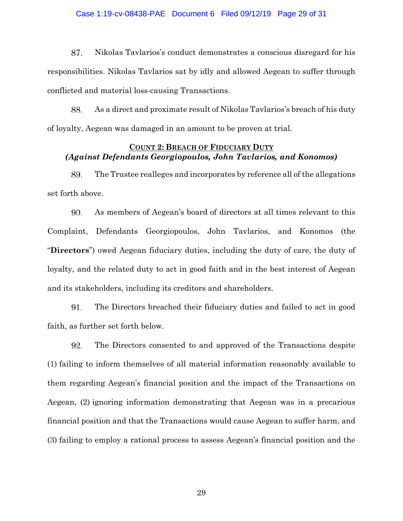### Case 1:19-cv-08438-PAE Document 6 Filed 09/12/19 Page 29 of 31

87. Nikolas Tavlarios's conduct demonstrates a conscious disregard for his responsibilities. Nikolas Tavlarios sat by idly and allowed Aegean to suffer through conflicted and material loss-causing Transactions.

88. As a direct and proximate result of Nikolas Tavlarios's breach of his duty of loyalty, Aegean was damaged in an amount to be proven at trial.

## **COUNT 2: BREACH OF FIDUCIARY DUTY** *(Against Defendants Georgiopoulos, John Tavlarios, and Konomos)*

The Trustee realleges and incorporates by reference all of the allegations 89. set forth above.

90. As members of Aegean's board of directors at all times relevant to this Complaint, Defendants Georgiopoulos, John Tavlarios, and Konomos (the "**Directors**") owed Aegean fiduciary duties, including the duty of care, the duty of loyalty, and the related duty to act in good faith and in the best interest of Aegean and its stakeholders, including its creditors and shareholders.

91. The Directors breached their fiduciary duties and failed to act in good faith, as further set forth below.

92. The Directors consented to and approved of the Transactions despite (1) failing to inform themselves of all material information reasonably available to them regarding Aegean's financial position and the impact of the Transactions on Aegean, (2) ignoring information demonstrating that Aegean was in a precarious financial position and that the Transactions would cause Aegean to suffer harm, and (3) failing to employ a rational process to assess Aegean's financial position and the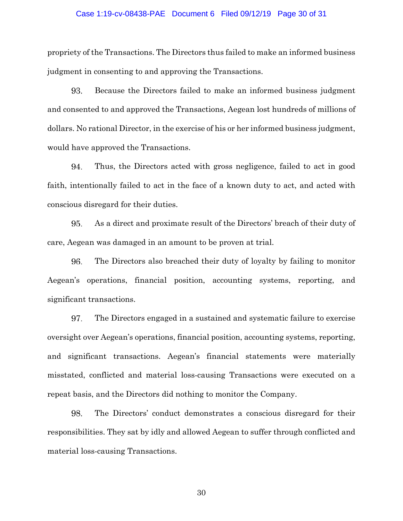### Case 1:19-cv-08438-PAE Document 6 Filed 09/12/19 Page 30 of 31

propriety of the Transactions. The Directors thus failed to make an informed business judgment in consenting to and approving the Transactions.

93. Because the Directors failed to make an informed business judgment and consented to and approved the Transactions, Aegean lost hundreds of millions of dollars. No rational Director, in the exercise of his or her informed business judgment, would have approved the Transactions.

94. Thus, the Directors acted with gross negligence, failed to act in good faith, intentionally failed to act in the face of a known duty to act, and acted with conscious disregard for their duties.

95. As a direct and proximate result of the Directors' breach of their duty of care, Aegean was damaged in an amount to be proven at trial.

96. The Directors also breached their duty of loyalty by failing to monitor Aegean's operations, financial position, accounting systems, reporting, and significant transactions.

97. The Directors engaged in a sustained and systematic failure to exercise oversight over Aegean's operations, financial position, accounting systems, reporting, and significant transactions. Aegean's financial statements were materially misstated, conflicted and material loss-causing Transactions were executed on a repeat basis, and the Directors did nothing to monitor the Company.

98. The Directors' conduct demonstrates a conscious disregard for their responsibilities. They sat by idly and allowed Aegean to suffer through conflicted and material loss-causing Transactions.